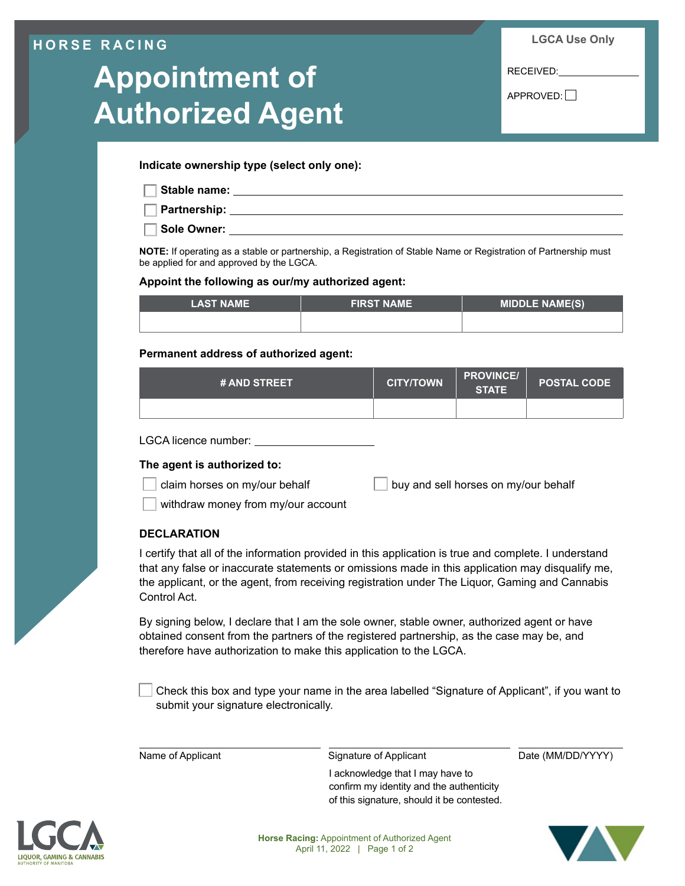### **HORSE RACING**

# **Appointment of Authorized Agent**

**LGCA Use Only**

RECEIVED:

 $APPROVED:$ 

**Indicate ownership type (select only one):**

**Stable name:**

**Partnership:**

**Sole Owner:**

**NOTE:** If operating as a stable or partnership, a Registration of Stable Name or Registration of Partnership must be applied for and approved by the LGCA.

#### **Appoint the following as our/my authorized agent:**

| <b>LAST NAME</b> | <b>FIRST NAME</b> | <b>MIDDLE NAME(S)</b> |  |
|------------------|-------------------|-----------------------|--|
|                  |                   |                       |  |

#### **Permanent address of authorized agent:**

| <b># AND STREET</b> | <b>CITY/TOWN</b> | <b>PROVINCE/</b><br><b>STATE</b> | <b>POSTAL CODE</b> |
|---------------------|------------------|----------------------------------|--------------------|
|                     |                  |                                  |                    |

#### LGCA licence number:

#### **The agent is authorized to:**

claim horses on my/our behalf buy and sell horses on my/our behalf

withdraw money from my/our account

#### **DECLARATION**

I certify that all of the information provided in this application is true and complete. I understand that any false or inaccurate statements or omissions made in this application may disqualify me, the applicant, or the agent, from receiving registration under The Liquor, Gaming and Cannabis Control Act.

By signing below, I declare that I am the sole owner, stable owner, authorized agent or have obtained consent from the partners of the registered partnership, as the case may be, and therefore have authorization to make this application to the LGCA.

 Check this box and type your name in the area labelled "Signature of Applicant", if you want to submit your signature electronically.

Name of Applicant Signature of Applicant Date (MM/DD/YYYY)

I acknowledge that I may have to confirm my identity and the authenticity of this signature, should it be contested.